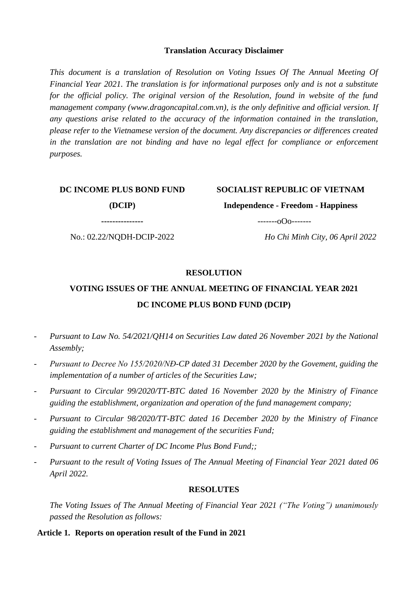#### **Translation Accuracy Disclaimer**

*This document is a translation of Resolution on Voting Issues Of The Annual Meeting Of Financial Year 2021. The translation is for informational purposes only and is not a substitute for the official policy. The original version of the Resolution, found in website of the fund management company [\(www.dragoncapital.com.vn\)](http://www.dragoncapital.com.vn/), is the only definitive and official version. If any questions arise related to the accuracy of the information contained in the translation, please refer to the Vietnamese version of the document. Any discrepancies or differences created*  in the translation are not binding and have no legal effect for compliance or enforcement *purposes.*

#### **DC INCOME PLUS BOND FUND**

# **SOCIALIST REPUBLIC OF VIETNAM**

**(DCIP)**

**---------------**

No.: 02.22/NQDH-DCIP-2022

 $---o$ Oo $---o$ 

**Independence - Freedom - Happiness**

*Ho Chi Minh City, 06 April 2022*

#### **RESOLUTION**

# **VOTING ISSUES OF THE ANNUAL MEETING OF FINANCIAL YEAR 2021 DC INCOME PLUS BOND FUND (DCIP)**

- *Pursuant to Law No. 54/2021/QH14 on Securities Law dated 26 November 2021 by the National Assembly;*
- *Pursuant to Decree No 155/2020/NĐ-CP dated 31 December 2020 by the Govement, guiding the implementation of a number of articles of the Securities Law;*
- *Pursuant to Circular 99/2020/TT-BTC dated 16 November 2020 by the Ministry of Finance guiding the establishment, organization and operation of the fund management company;*
- *Pursuant to Circular 98/2020/TT-BTC dated 16 December 2020 by the Ministry of Finance guiding the establishment and management of the securities Fund;*
- Pursuant to current Charter of DC Income Plus Bond Fund;;
- *Pursuant to the result of Voting Issues of The Annual Meeting of Financial Year 2021 dated 06 April 2022.*

#### **RESOLUTES**

*The Voting Issues of The Annual Meeting of Financial Year 2021 ("The Voting") unanimously passed the Resolution as follows:*

#### **Article 1. Reports on operation result of the Fund in 2021**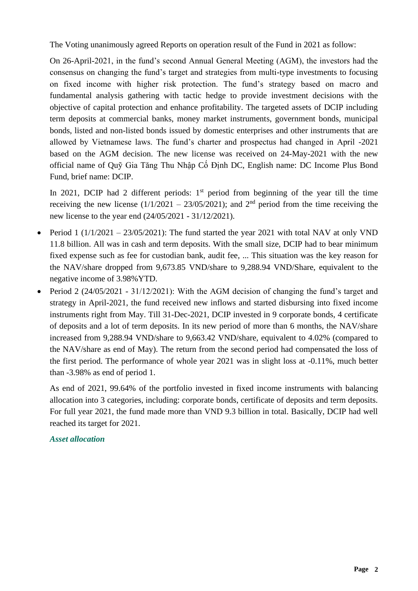The Voting unanimously agreed Reports on operation result of the Fund in 2021 as follow:

On 26-April-2021, in the fund's second Annual General Meeting (AGM), the investors had the consensus on changing the fund's target and strategies from multi-type investments to focusing on fixed income with higher risk protection. The fund's strategy based on macro and fundamental analysis gathering with tactic hedge to provide investment decisions with the objective of capital protection and enhance profitability. The targeted assets of DCIP including term deposits at commercial banks, money market instruments, government bonds, municipal bonds, listed and non-listed bonds issued by domestic enterprises and other instruments that are allowed by Vietnamese laws. The fund's charter and prospectus had changed in April -2021 based on the AGM decision. The new license was received on 24-May-2021 with the new official name of Quỹ Gia Tăng Thu Nhập Cố Định DC, English name: DC Income Plus Bond Fund, brief name: DCIP.

In 2021, DCIP had 2 different periods:  $1<sup>st</sup>$  period from beginning of the year till the time receiving the new license  $(1/1/2021 - 23/05/2021)$ ; and  $2<sup>nd</sup>$  period from the time receiving the new license to the year end (24/05/2021 - 31/12/2021).

- Period 1 ( $1/1/2021 23/05/2021$ ): The fund started the year 2021 with total NAV at only VND 11.8 billion. All was in cash and term deposits. With the small size, DCIP had to bear minimum fixed expense such as fee for custodian bank, audit fee, ... This situation was the key reason for the NAV/share dropped from 9,673.85 VND/share to 9,288.94 VND/Share, equivalent to the negative income of 3.98%YTD.
- Period 2 (24/05/2021 31/12/2021): With the AGM decision of changing the fund's target and strategy in April-2021, the fund received new inflows and started disbursing into fixed income instruments right from May. Till 31-Dec-2021, DCIP invested in 9 corporate bonds, 4 certificate of deposits and a lot of term deposits. In its new period of more than 6 months, the NAV/share increased from 9,288.94 VND/share to 9,663.42 VND/share, equivalent to 4.02% (compared to the NAV/share as end of May). The return from the second period had compensated the loss of the first period. The performance of whole year 2021 was in slight loss at -0.11%, much better than -3.98% as end of period 1.

As end of 2021, 99.64% of the portfolio invested in fixed income instruments with balancing allocation into 3 categories, including: corporate bonds, certificate of deposits and term deposits. For full year 2021, the fund made more than VND 9.3 billion in total. Basically, DCIP had well reached its target for 2021.

### *Asset allocation*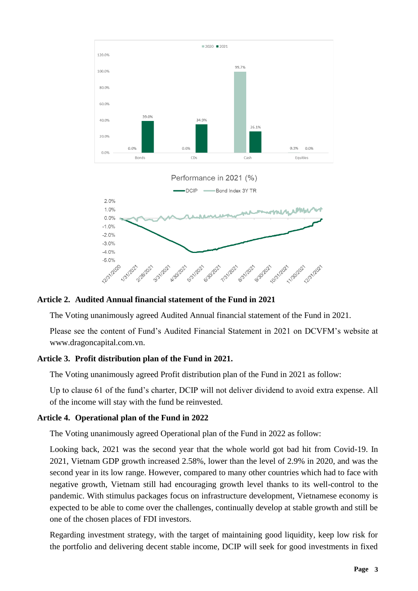

### **Article 2. Audited Annual financial statement of the Fund in 2021**

The Voting unanimously agreed Audited Annual financial statement of the Fund in 2021.

Please see the content of Fund's Audited Financial Statement in 2021 on DCVFM's website at www.dragoncapital.com.vn.

### **Article 3. Profit distribution plan of the Fund in 2021.**

The Voting unanimously agreed Profit distribution plan of the Fund in 2021 as follow:

Up to clause 61 of the fund's charter, DCIP will not deliver dividend to avoid extra expense. All of the income will stay with the fund be reinvested.

### **Article 4. Operational plan of the Fund in 2022**

The Voting unanimously agreed Operational plan of the Fund in 2022 as follow:

Looking back, 2021 was the second year that the whole world got bad hit from Covid-19. In 2021, Vietnam GDP growth increased 2.58%, lower than the level of 2.9% in 2020, and was the second year in its low range. However, compared to many other countries which had to face with negative growth, Vietnam still had encouraging growth level thanks to its well-control to the pandemic. With stimulus packages focus on infrastructure development, Vietnamese economy is expected to be able to come over the challenges, continually develop at stable growth and still be one of the chosen places of FDI investors.

Regarding investment strategy, with the target of maintaining good liquidity, keep low risk for the portfolio and delivering decent stable income, DCIP will seek for good investments in fixed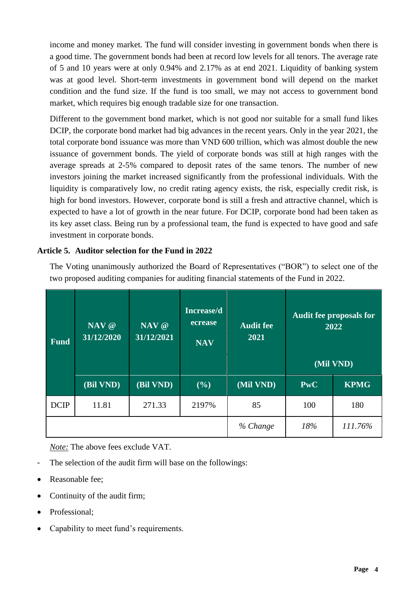income and money market. The fund will consider investing in government bonds when there is a good time. The government bonds had been at record low levels for all tenors. The average rate of 5 and 10 years were at only 0.94% and 2.17% as at end 2021. Liquidity of banking system was at good level. Short-term investments in government bond will depend on the market condition and the fund size. If the fund is too small, we may not access to government bond market, which requires big enough tradable size for one transaction.

Different to the government bond market, which is not good nor suitable for a small fund likes DCIP, the corporate bond market had big advances in the recent years. Only in the year 2021, the total corporate bond issuance was more than VND 600 trillion, which was almost double the new issuance of government bonds. The yield of corporate bonds was still at high ranges with the average spreads at 2-5% compared to deposit rates of the same tenors. The number of new investors joining the market increased significantly from the professional individuals. With the liquidity is comparatively low, no credit rating agency exists, the risk, especially credit risk, is high for bond investors. However, corporate bond is still a fresh and attractive channel, which is expected to have a lot of growth in the near future. For DCIP, corporate bond had been taken as its key asset class. Being run by a professional team, the fund is expected to have good and safe investment in corporate bonds.

### **Article 5. Auditor selection for the Fund in 2022**

The Voting unanimously authorized the Board of Representatives ("BOR") to select one of the two proposed auditing companies for auditing financial statements of the Fund in 2022.

| Fund <sup>'</sup> | NAV @<br>31/12/2020 | NAV @<br>$\overline{31/12/2021}$ | Increase/d<br>ecrease<br><b>NAV</b> | <b>Audit fee</b><br>2021 |            | <b>Audit fee proposals for</b><br>2022<br>(Mil VND) |
|-------------------|---------------------|----------------------------------|-------------------------------------|--------------------------|------------|-----------------------------------------------------|
|                   | (Bil VND)           | (Bil VND)                        | (%)                                 | (Mil VND)                | <b>PwC</b> | <b>KPMG</b>                                         |
| <b>DCIP</b>       | 11.81               | 271.33                           | 2197%                               | 85                       | 100        | 180                                                 |
|                   |                     |                                  |                                     | % Change                 | 18%        | 111.76%                                             |

*Note:* The above fees exclude VAT.

- The selection of the audit firm will base on the followings:
- Reasonable fee;
- Continuity of the audit firm;
- Professional;
- Capability to meet fund's requirements.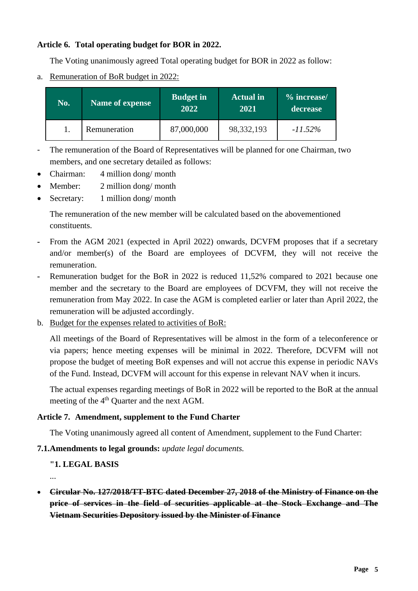### **Article 6. Total operating budget for BOR in 2022.**

The Voting unanimously agreed Total operating budget for BOR in 2022 as follow:

a. Remuneration of BoR budget in 2022:

| No. | <b>Name of expense</b> | <b>Budget in</b><br>2022 | <b>Actual</b> in<br>2021 | % increase/<br>decrease |
|-----|------------------------|--------------------------|--------------------------|-------------------------|
|     | Remuneration           | 87,000,000               | 98, 332, 193             | $-11.52\%$              |

- The remuneration of the Board of Representatives will be planned for one Chairman, two members, and one secretary detailed as follows:
- Chairman: 4 million dong/ month
- Member: 2 million dong/ month
- Secretary: 1 million dong/ month

The remuneration of the new member will be calculated based on the abovementioned constituents.

- **-** From the AGM 2021 (expected in April 2022) onwards, DCVFM proposes that if a secretary and/or member(s) of the Board are employees of DCVFM, they will not receive the remuneration.
- **-** Remuneration budget for the BoR in 2022 is reduced 11,52% compared to 2021 because one member and the secretary to the Board are employees of DCVFM, they will not receive the remuneration from May 2022. In case the AGM is completed earlier or later than April 2022, the remuneration will be adjusted accordingly.
- b. Budget for the expenses related to activities of BoR:

All meetings of the Board of Representatives will be almost in the form of a teleconference or via papers; hence meeting expenses will be minimal in 2022. Therefore, DCVFM will not propose the budget of meeting BoR expenses and will not accrue this expense in periodic NAVs of the Fund. Instead, DCVFM will account for this expense in relevant NAV when it incurs.

The actual expenses regarding meetings of BoR in 2022 will be reported to the BoR at the annual meeting of the 4<sup>th</sup> Quarter and the next AGM.

### **Article 7. Amendment, supplement to the Fund Charter**

The Voting unanimously agreed all content of Amendment, supplement to the Fund Charter:

### **7.1.Amendments to legal grounds:** *update legal documents.*

### **"1. LEGAL BASIS**

...

• **[Circular No. 127/2018/TT-BTC dated December 27, 2018 of the Ministry of Finance on the](https://thuvienphapluat.vn/van-ban/Chung-khoan/Thong-tu-127-2018-TT-BTC-gia-dich-vu-linh-vuc-chung-khoan-ap-dung-tai-So-giao-dich-chung-khoan-380427.aspx)  [price of services in the field of securities applicable at the Stock Exchange and The](https://thuvienphapluat.vn/van-ban/Chung-khoan/Thong-tu-127-2018-TT-BTC-gia-dich-vu-linh-vuc-chung-khoan-ap-dung-tai-So-giao-dich-chung-khoan-380427.aspx)  [Vietnam Securities Depository issued by the Minister of Finance](https://thuvienphapluat.vn/van-ban/Chung-khoan/Thong-tu-127-2018-TT-BTC-gia-dich-vu-linh-vuc-chung-khoan-ap-dung-tai-So-giao-dich-chung-khoan-380427.aspx)**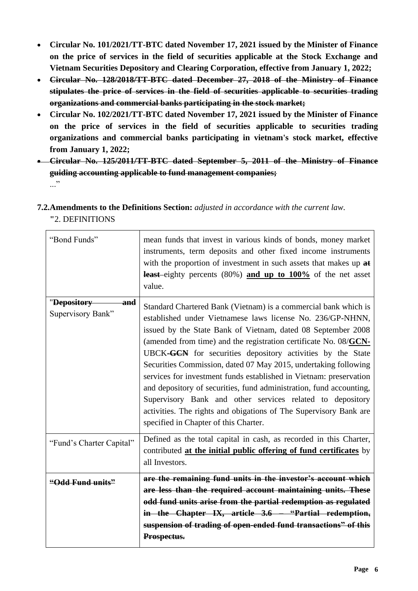- **Circular No. 101/2021/TT-BTC dated November 17, 2021 issued by the Minister of Finance on the price of services in the field of securities applicable at the Stock Exchange and Vietnam Securities Depository and Clearing Corporation, effective from January 1, 2022;**
- **Circular No. 128/2018/TT-BTC dated December 27, 2018 of the Ministry of Finance stipulates the price of services in the field of securities applicable to securities trading organizations and commercial banks participating in the stock market;**
- **[Circular No. 102/2021/TT-BTC dated November 17, 2021 issued by the Minister of Finance](https://thuvienphapluat.vn/van-ban/Chung-khoan/Thong-tu-102-2021-TT-BTC-gia-dich-vu-linh-vuc-chung-khoan-tai-to-chuc-kinh-doanh-chung-khoan-495499.aspx)  on the price of services in [the field of securities applicable to securities trading](https://thuvienphapluat.vn/van-ban/Chung-khoan/Thong-tu-102-2021-TT-BTC-gia-dich-vu-linh-vuc-chung-khoan-tai-to-chuc-kinh-doanh-chung-khoan-495499.aspx)  [organizations and commercial banks participating in vietnam's stock market, effective](https://thuvienphapluat.vn/van-ban/Chung-khoan/Thong-tu-102-2021-TT-BTC-gia-dich-vu-linh-vuc-chung-khoan-tai-to-chuc-kinh-doanh-chung-khoan-495499.aspx)  [from January 1, 2022;](https://thuvienphapluat.vn/van-ban/Chung-khoan/Thong-tu-102-2021-TT-BTC-gia-dich-vu-linh-vuc-chung-khoan-tai-to-chuc-kinh-doanh-chung-khoan-495499.aspx)**
- **Circular No. 125/2011/TT-BTC dated September 5, 2011 of the Ministry of Finance guiding accounting applicable to fund management companies;** ..."
- **7.2.Amendments to the Definitions Section:** *adjusted in accordance with the current law.* **"**2. DEFINITIONS

| "Bond Funds"                            | mean funds that invest in various kinds of bonds, money market<br>instruments, term deposits and other fixed income instruments<br>with the proportion of investment in such assets that makes up at<br>least eighty percents (80%) and up to 100% of the net asset<br>value.                                                                                                                                                                                                                                                                                                                                                                                                                                              |
|-----------------------------------------|----------------------------------------------------------------------------------------------------------------------------------------------------------------------------------------------------------------------------------------------------------------------------------------------------------------------------------------------------------------------------------------------------------------------------------------------------------------------------------------------------------------------------------------------------------------------------------------------------------------------------------------------------------------------------------------------------------------------------|
| "Depository<br>and<br>Supervisory Bank" | Standard Chartered Bank (Vietnam) is a commercial bank which is<br>established under Vietnamese laws license No. 236/GP-NHNN,<br>issued by the State Bank of Vietnam, dated 08 September 2008<br>(amended from time) and the registration certificate No. 08/GCN-<br>UBCK-GCN for securities depository activities by the State<br>Securities Commission, dated 07 May 2015, undertaking following<br>services for investment funds established in Vietnam: preservation<br>and depository of securities, fund administration, fund accounting,<br>Supervisory Bank and other services related to depository<br>activities. The rights and obigations of The Supervisory Bank are<br>specified in Chapter of this Charter. |
| "Fund's Charter Capital"                | Defined as the total capital in cash, as recorded in this Charter,<br>contributed at the initial public offering of fund certificates by<br>all Investors.                                                                                                                                                                                                                                                                                                                                                                                                                                                                                                                                                                 |
| "Odd Fund units"                        | are the remaining fund units in the investor's account which<br>are less than the required account maintaining units. These<br>odd fund units arise from the partial redemption as regulated<br>in the Chapter IX, article 3.6 – "Partial redemption,<br>suspension of trading of open-ended fund transactions" of this<br>Prospectus.                                                                                                                                                                                                                                                                                                                                                                                     |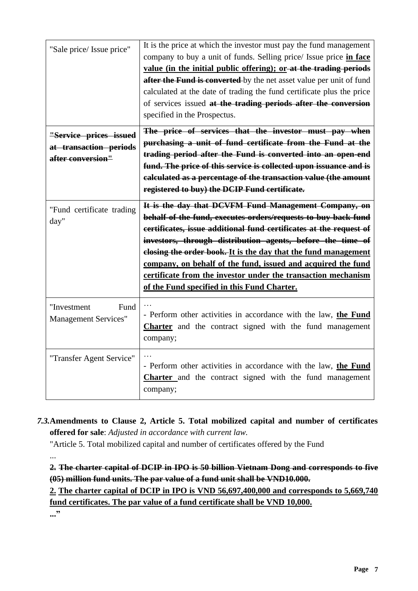| "Sale price/ Issue price"                                             | It is the price at which the investor must pay the fund management<br>company to buy a unit of funds. Selling price/ Issue price in face<br>value (in the initial public offering); or at the trading periods<br>after the Fund is converted by the net asset value per unit of fund<br>calculated at the date of trading the fund certificate plus the price<br>of services issued at the trading periods after the conversion<br>specified in the Prospectus.                                             |
|-----------------------------------------------------------------------|-------------------------------------------------------------------------------------------------------------------------------------------------------------------------------------------------------------------------------------------------------------------------------------------------------------------------------------------------------------------------------------------------------------------------------------------------------------------------------------------------------------|
| "Service prices issued<br>at transaction periods<br>after conversion" | The price of services that the investor must pay when<br>purchasing a unit of fund certificate from the Fund at the<br>trading period after the Fund is converted into an open-end<br>fund. The price of this service is collected upon issuance and is<br>calculated as a percentage of the transaction value (the amount<br>registered to buy) the DCIP Fund certificate.                                                                                                                                 |
| "Fund certificate trading<br>day"                                     | It is the day that DCVFM Fund Management Company, on<br>behalf of the fund, executes orders/requests to buy back fund<br>certificates, issue additional fund certificates at the request of<br>investors, through distribution agents, before the time of<br>elosing the order book. It is the day that the fund management<br>company, on behalf of the fund, issued and acquired the fund<br>certificate from the investor under the transaction mechanism<br>of the Fund specified in this Fund Charter. |
| "Investment<br>Fund<br><b>Management Services"</b>                    | - Perform other activities in accordance with the law, the Fund<br>Charter and the contract signed with the fund management<br>company;                                                                                                                                                                                                                                                                                                                                                                     |
| "Transfer Agent Service"                                              | - Perform other activities in accordance with the law, the Fund<br><b>Charter</b> and the contract signed with the fund management<br>company;                                                                                                                                                                                                                                                                                                                                                              |

*7.3.***Amendments to Clause 2, Article 5. Total mobilized capital and number of certificates offered for sale**: *Adjusted in accordance with current law.*

"Article 5. Total mobilized capital and number of certificates offered by the Fund

...

**2. The charter capital of DCIP in IPO is 50 billion Vietnam Dong and corresponds to five (05) million fund units. The par value of a fund unit shall be VND10.000.**

**2. The charter capital of DCIP in IPO is VND 56,697,400,000 and corresponds to 5,669,740 fund certificates. The par value of a fund certificate shall be VND 10,000.**

**..."**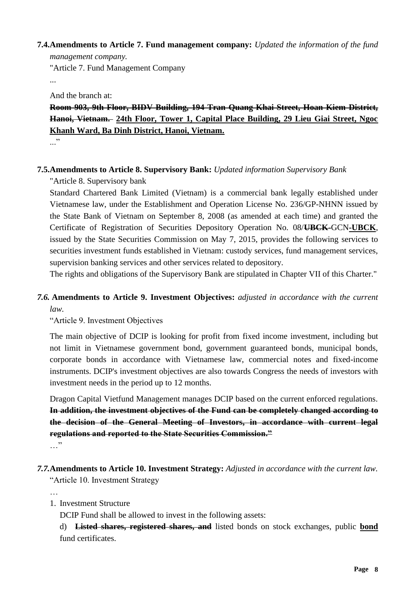#### **7.4.Amendments to Article 7. Fund management company:** *Updated the information of the fund*

*management company.* "Article 7. Fund Management Company

...

And the branch at:

## **Room 903, 9th Floor, BIDV Building, 194 Tran Quang Khai Street, Hoan Kiem District, Hanoi, Vietnam. 24th Floor, Tower 1, Capital Place Building, 29 Lieu Giai Street, Ngoc Khanh Ward, Ba Dinh District, Hanoi, Vietnam.**

 $\cdot$ ..."

### **7.5.Amendments to Article 8. Supervisory Bank:** *Updated information Supervisory Bank*

"Article 8. Supervisory bank

Standard Chartered Bank Limited (Vietnam) is a commercial bank legally established under Vietnamese law, under the Establishment and Operation License No. 236/GP-NHNN issued by the State Bank of Vietnam on September 8, 2008 (as amended at each time) and granted the Certificate of Registration of Securities Depository Operation No. 08/**UBCK-**GCN**-UBCK**, issued by the State Securities Commission on May 7, 2015, provides the following services to securities investment funds established in Vietnam: custody services, fund management services, supervision banking services and other services related to depository.

The rights and obligations of the Supervisory Bank are stipulated in Chapter VII of this Charter."

### *7.6.* **Amendments to Article 9. Investment Objectives:** *adjusted in accordance with the current law.*

"Article 9. Investment Objectives

The main objective of DCIP is looking for profit from fixed income investment, including but not limit in Vietnamese government bond, government guaranteed bonds, municipal bonds, corporate bonds in accordance with Vietnamese law, commercial notes and fixed-income instruments. DCIP's investment objectives are also towards Congress the needs of investors with investment needs in the period up to 12 months.

Dragon Capital Vietfund Management manages DCIP based on the current enforced regulations. **In addition, the investment objectives of the Fund can be completely changed according to the decision of the General Meeting of Investors, in accordance with current legal regulations and reported to the State Securities Commission."** …"

# *7.7.***Amendments to Article 10. Investment Strategy:** *Adjusted in accordance with the current law.*

"Article 10. Investment Strategy

…

### 1. Investment Structure

DCIP Fund shall be allowed to invest in the following assets:

d) **Listed shares, registered shares, and** listed bonds on stock exchanges, public **bond** fund certificates.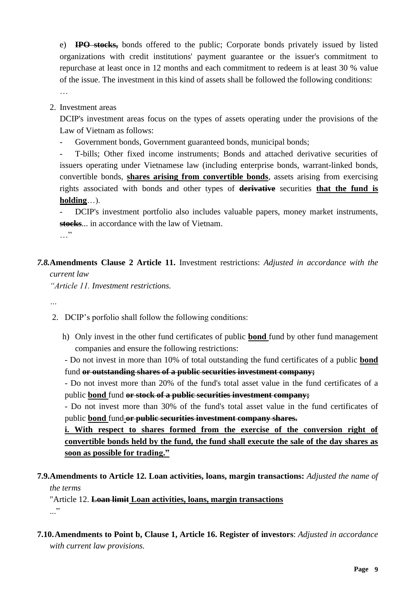e) **IPO stocks,** bonds offered to the public; Corporate bonds privately issued by listed organizations with credit institutions' payment guarantee or the issuer's commitment to repurchase at least once in 12 months and each commitment to redeem is at least 30 % value of the issue. The investment in this kind of assets shall be followed the following conditions: …

2. Investment areas

DCIP's investment areas focus on the types of assets operating under the provisions of the Law of Vietnam as follows:

Government bonds, Government guaranteed bonds, municipal bonds;

- T-bills; Other fixed income instruments; Bonds and attached derivative securities of issuers operating under Vietnamese law (including enterprise bonds, warrant-linked bonds, convertible bonds, **shares arising from convertible bonds**, assets arising from exercising rights associated with bonds and other types of **derivative** securities **that the fund is holding**…).

DCIP's investment portfolio also includes valuable papers, money market instruments, **stocks**... in accordance with the law of Vietnam. …"

*7.8.***Amendments Clause 2 Article 11.** Investment restrictions: *Adjusted in accordance with the current law*

*"Article 11. Investment restrictions.*

*…*

2. DCIP's porfolio shall follow the following conditions:

h) Only invest in the other fund certificates of public **bond** fund by other fund management companies and ensure the following restrictions:

- Do not invest in more than 10% of total outstanding the fund certificates of a public **bond** fund **or outstanding shares of a public securities investment company;**

- Do not invest more than 20% of the fund's total asset value in the fund certificates of a public **bond** fund **or stock of a public securities investment company;**

- Do not invest more than 30% of the fund's total asset value in the fund certificates of public **bond** fund or public securities investment company shares.

**i. With respect to shares formed from the exercise of the conversion right of convertible bonds held by the fund, the fund shall execute the sale of the day shares as soon as possible for trading."**

**7.9.Amendments to Article 12. Loan activities, loans, margin transactions:** *Adjusted the name of the terms*

"Article 12. **Loan limit Loan activities, loans, margin transactions** ..."

**7.10.Amendments to Point b, Clause 1, Article 16. Register of investors**: *Adjusted in accordance with current law provisions.*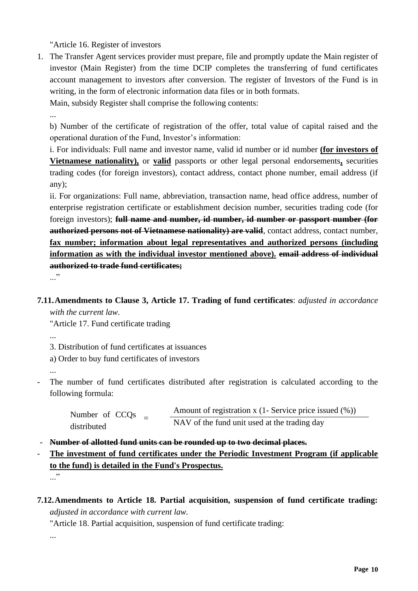"Article 16. Register of investors

1. The Transfer Agent services provider must prepare, file and promptly update the Main register of investor (Main Register) from the time DCIP completes the transferring of fund certificates account management to investors after conversion. The register of Investors of the Fund is in writing, in the form of electronic information data files or in both formats.

Main, subsidy Register shall comprise the following contents:

...

b) Number of the certificate of registration of the offer, total value of capital raised and the operational duration of the Fund, Investor's information:

i. For individuals: Full name and investor name, valid id number or id number **(for investors of Vietnamese nationality),** or **valid** passports or other legal personal endorsements**,** securities trading codes (for foreign investors), contact address, contact phone number, email address (if any);

ii. For organizations: Full name, abbreviation, transaction name, head office address, number of enterprise registration certificate or establishment decision number, securities trading code (for foreign investors); **full name and number, id number, id number or passport number (for authorized persons not of Vietnamese nationality) are valid**, contact address, contact number, **fax number; information about legal representatives and authorized persons (including information as with the individual investor mentioned above). email address of individual authorized to trade fund certificates;**

..."

**7.11.Amendments to Clause 3, Article 17. Trading of fund certificates**: *adjusted in accordance with the current law.*

"Article 17. Fund certificate trading

...

3. Distribution of fund certificates at issuances

a) Order to buy fund certificates of investors

...

The number of fund certificates distributed after registration is calculated according to the following formula:

| Number of CCO <sub>s</sub><br>distributed | Amount of registration x $(1 -$ Service price issued $(\%)$ |
|-------------------------------------------|-------------------------------------------------------------|
|                                           | NAV of the fund unit used at the trading day                |

- **Number of allotted fund units can be rounded up to two decimal places.**
- **The investment of fund certificates under the Periodic Investment Program (if applicable to the fund) is detailed in the Fund's Prospectus.**
	- ..."
- **7.12.Amendments to Article 18. Partial acquisition, suspension of fund certificate trading:** *adjusted in accordance with current law.*

"Article 18. Partial acquisition, suspension of fund certificate trading:

...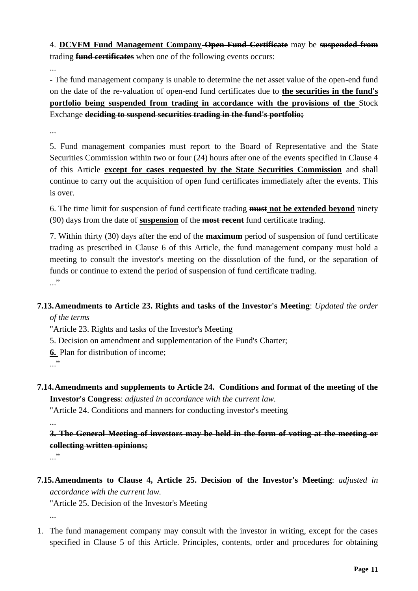4. **DCVFM Fund Management Company Open Fund Certificate** may be **suspended from**  trading **fund certificates** when one of the following events occurs:

...

- The fund management company is unable to determine the net asset value of the open-end fund on the date of the re-valuation of open-end fund certificates due to **the securities in the fund's portfolio being suspended from trading in accordance with the provisions of the** Stock Exchange **deciding to suspend securities trading in the fund's portfolio;**

...

5. Fund management companies must report to the Board of Representative and the State Securities Commission within two or four (24) hours after one of the events specified in Clause 4 of this Article **except for cases requested by the State Securities Commission** and shall continue to carry out the acquisition of open fund certificates immediately after the events. This is over.

6. The time limit for suspension of fund certificate trading **must not be extended beyond** ninety (90) days from the date of **suspension** of the **most recent** fund certificate trading.

7. Within thirty (30) days after the end of the **maximum** period of suspension of fund certificate trading as prescribed in Clause 6 of this Article, the fund management company must hold a meeting to consult the investor's meeting on the dissolution of the fund, or the separation of funds or continue to extend the period of suspension of fund certificate trading.  $\cdot$ ..."

### **7.13.Amendments to Article 23. Rights and tasks of the Investor's Meeting**: *Updated the order of the terms*

"Article 23. Rights and tasks of the Investor's Meeting

5. Decision on amendment and supplementation of the Fund's Charter;

**6.** Plan for distribution of income;

..."

**7.14.Amendments and supplements to Article 24. Conditions and format of the meeting of the Investor's Congress**: *adjusted in accordance with the current law.*

"Article 24. Conditions and manners for conducting investor's meeting

**3. The General Meeting of investors may be held in the form of voting at the meeting or collecting written opinions;**

..."

...

**7.15.Amendments to Clause 4, Article 25. Decision of the Investor's Meeting**: *adjusted in accordance with the current law.*

"Article 25. Decision of the Investor's Meeting

...

1. The fund management company may consult with the investor in writing, except for the cases specified in Clause 5 of this Article. Principles, contents, order and procedures for obtaining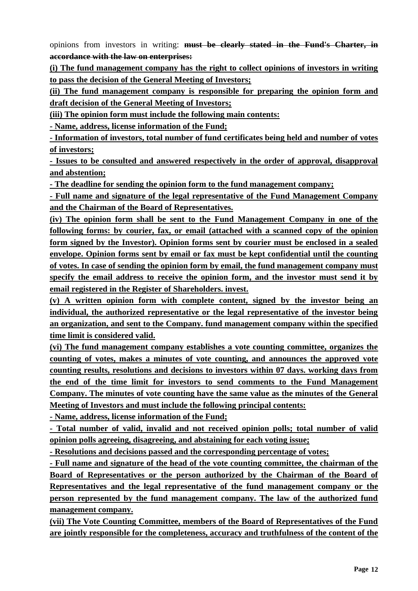opinions from investors in writing: **must be clearly stated in the Fund's Charter, in accordance with the law on enterprises:**

**(i) The fund management company has the right to collect opinions of investors in writing to pass the decision of the General Meeting of Investors;**

**(ii) The fund management company is responsible for preparing the opinion form and draft decision of the General Meeting of Investors;**

**(iii) The opinion form must include the following main contents:**

**- Name, address, license information of the Fund;**

**- Information of investors, total number of fund certificates being held and number of votes of investors;**

**- Issues to be consulted and answered respectively in the order of approval, disapproval and abstention;**

**- The deadline for sending the opinion form to the fund management company;**

**- Full name and signature of the legal representative of the Fund Management Company and the Chairman of the Board of Representatives.**

**(iv) The opinion form shall be sent to the Fund Management Company in one of the following forms: by courier, fax, or email (attached with a scanned copy of the opinion form signed by the Investor). Opinion forms sent by courier must be enclosed in a sealed envelope. Opinion forms sent by email or fax must be kept confidential until the counting of votes. In case of sending the opinion form by email, the fund management company must specify the email address to receive the opinion form, and the investor must send it by email registered in the Register of Shareholders. invest.**

**(v) A written opinion form with complete content, signed by the investor being an individual, the authorized representative or the legal representative of the investor being an organization, and sent to the Company. fund management company within the specified time limit is considered valid.**

**(vi) The fund management company establishes a vote counting committee, organizes the counting of votes, makes a minutes of vote counting, and announces the approved vote counting results, resolutions and decisions to investors within 07 days. working days from the end of the time limit for investors to send comments to the Fund Management Company. The minutes of vote counting have the same value as the minutes of the General Meeting of Investors and must include the following principal contents:**

**- Name, address, license information of the Fund;**

**- Total number of valid, invalid and not received opinion polls; total number of valid opinion polls agreeing, disagreeing, and abstaining for each voting issue;**

**- Resolutions and decisions passed and the corresponding percentage of votes;**

**- Full name and signature of the head of the vote counting committee, the chairman of the Board of Representatives or the person authorized by the Chairman of the Board of Representatives and the legal representative of the fund management company or the person represented by the fund management company. The law of the authorized fund management company.**

**(vii) The Vote Counting Committee, members of the Board of Representatives of the Fund are jointly responsible for the completeness, accuracy and truthfulness of the content of the**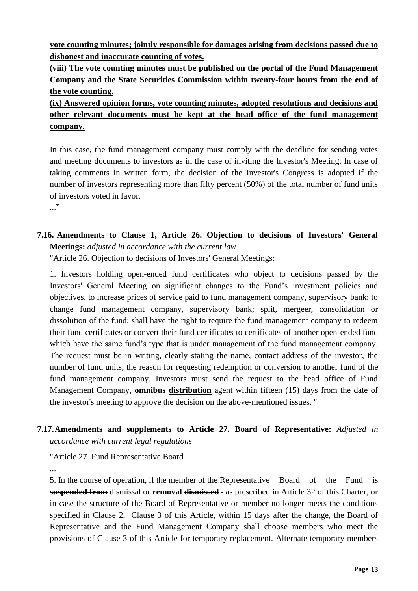**vote counting minutes; jointly responsible for damages arising from decisions passed due to dishonest and inaccurate counting of votes.**

**(viii) The vote counting minutes must be published on the portal of the Fund Management Company and the State Securities Commission within twenty-four hours from the end of the vote counting.**

**(ix) Answered opinion forms, vote counting minutes, adopted resolutions and decisions and other relevant documents must be kept at the head office of the fund management company.**

In this case, the fund management company must comply with the deadline for sending votes and meeting documents to investors as in the case of inviting the Investor's Meeting. In case of taking comments in written form, the decision of the Investor's Congress is adopted if the number of investors representing more than fifty percent (50%) of the total number of fund units of investors voted in favor.

..."

**7.16. Amendments to Clause 1, Article 26. Objection to decisions of Investors' General Meetings:** *adjusted in accordance with the current law.*

"Article 26. Objection to decisions of Investors' General Meetings:

1. Investors holding open-ended fund certificates who object to decisions passed by the Investors' General Meeting on significant changes to the Fund's investment policies and objectives, to increase prices of service paid to fund management company, supervisory bank; to change fund management company, supervisory bank; split, mergeer, consolidation or dissolution of the fund; shall have the right to require the fund management company to redeem their fund certificates or convert their fund certificates to certificates of another open-ended fund which have the same fund's type that is under management of the fund management company. The request must be in writing, clearly stating the name, contact address of the investor, the number of fund units, the reason for requesting redemption or conversion to another fund of the fund management company. Investors must send the request to the head office of Fund Management Company, **omnibus distribution** agent within fifteen (15) days from the date of the investor's meeting to approve the decision on the above-mentioned issues. "

### **7.17.Amendments and supplements to Article 27. Board of Representative:** *Adjusted in accordance with current legal regulations*

"Article 27. Fund Representative Board

...

5. In the course of operation, if the member of the Representative Board of the Fund is **suspended from** dismissal or **removal dismissed** as prescribed in Article 32 of this Charter, or in case the structure of the Board of Representative or member no longer meets the conditions specified in Clause 2, Clause 3 of this Article, within 15 days after the change, the Board of Representative and the Fund Management Company shall choose members who meet the provisions of Clause 3 of this Article for temporary replacement. Alternate temporary members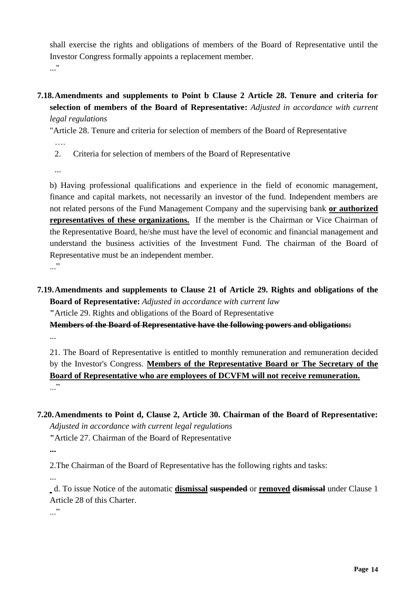shall exercise the rights and obligations of members of the Board of Representative until the Investor Congress formally appoints a replacement member. ..."

**7.18.Amendments and supplements to Point b Clause 2 Article 28. Tenure and criteria for selection of members of the Board of Representative:** *Adjusted in accordance with current legal regulations*

"Article 28. Tenure and criteria for selection of members of the Board of Representative

- ….
- 2. Criteria for selection of members of the Board of Representative

...

b) Having professional qualifications and experience in the field of economic management, finance and capital markets, not necessarily an investor of the fund. Independent members are not related persons of the Fund Management Company and the supervising bank **or authorized representatives of these organizations.** If the member is the Chairman or Vice Chairman of the Representative Board, he/she must have the level of economic and financial management and understand the business activities of the Investment Fund. The chairman of the Board of Representative must be an independent member.  $\cdot$ ..."

**7.19.Amendments and supplements to Clause 21 of Article 29. Rights and obligations of the Board of Representative:** *Adjusted in accordance with current law*

**"**Article 29. Rights and obligations of the Board of Representative

**Members of the Board of Representative have the following powers and obligations:** ...

21. The Board of Representative is entitled to monthly remuneration and remuneration decided by the Investor's Congress. **Members of the Representative Board or The Secretary of the Board of Representative who are employees of DCVFM will not receive remuneration.** ..."

- **7.20.Amendments to Point d, Clause 2, Article 30. Chairman of the Board of Representative:**  *Adjusted in accordance with current legal regulations*
	- **"**Article 27. Chairman of the Board of Representative

**...**

2.The Chairman of the Board of Representative has the following rights and tasks:

...

d. To issue Notice of the automatic **dismissal suspended** or **removed dismissal** under Clause 1 Article 28 of this Charter.

..."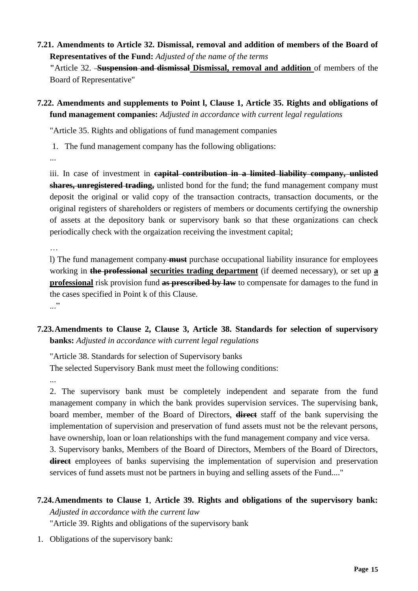### **7.21. Amendments to Article 32. Dismissal, removal and addition of members of the Board of Representatives of the Fund:** *Adjusted of the name of the terms*

**"**Article 32. **Suspension and dismissal Dismissal, removal and addition** of members of the Board of Representative"

**7.22. Amendments and supplements to Point l, Clause 1, Article 35. Rights and obligations of fund management companies:** *Adjusted in accordance with current legal regulations*

"Article 35. Rights and obligations of fund management companies

1. The fund management company has the following obligations:

...

iii. In case of investment in **capital contribution in a limited liability company, unlisted shares, unregistered trading,** unlisted bond for the fund; the fund management company must deposit the original or valid copy of the transaction contracts, transaction documents, or the original registers of shareholders or registers of members or documents certifying the ownership of assets at the depository bank or supervisory bank so that these organizations can check periodically check with the orgaization receiving the investment capital;

…

l) The fund management company **must** purchase occupational liability insurance for employees working in **the professional securities trading department** (if deemed necessary), or set up **a professional** risk provision fund **as prescribed by law** to compensate for damages to the fund in the cases specified in Point k of this Clause. ..."

# **7.23.Amendments to Clause 2, Clause 3, Article 38. Standards for selection of supervisory banks:** *Adjusted in accordance with current legal regulations*

"Article 38. Standards for selection of Supervisory banks The selected Supervisory Bank must meet the following conditions:

...

2. The supervisory bank must be completely independent and separate from the fund management company in which the bank provides supervision services. The supervising bank, board member, member of the Board of Directors, **direct** staff of the bank supervising the implementation of supervision and preservation of fund assets must not be the relevant persons, have ownership, loan or loan relationships with the fund management company and vice versa.

3. Supervisory banks, Members of the Board of Directors, Members of the Board of Directors, **direct** employees of banks supervising the implementation of supervision and preservation services of fund assets must not be partners in buying and selling assets of the Fund...."

# **7.24.Amendments to Clause 1**, **Article 39. Rights and obligations of the supervisory bank:**  *Adjusted in accordance with the current law*

"Article 39. Rights and obligations of the supervisory bank

1. Obligations of the supervisory bank: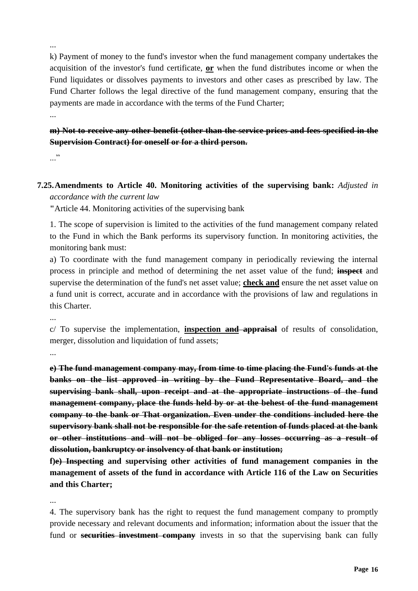k) Payment of money to the fund's investor when the fund management company undertakes the acquisition of the investor's fund certificate, **or** when the fund distributes income or when the Fund liquidates or dissolves payments to investors and other cases as prescribed by law. The Fund Charter follows the legal directive of the fund management company, ensuring that the payments are made in accordance with the terms of the Fund Charter;

...

...

**m) Not to receive any other benefit (other than the service prices and fees specified in the Supervision Contract) for oneself or for a third person.**

..."

**7.25.Amendments to Article 40. Monitoring activities of the supervising bank:** *Adjusted in accordance with the current law*

**"**Article 44. Monitoring activities of the supervising bank

1. The scope of supervision is limited to the activities of the fund management company related to the Fund in which the Bank performs its supervisory function. In monitoring activities, the monitoring bank must:

a) To coordinate with the fund management company in periodically reviewing the internal process in principle and method of determining the net asset value of the fund; **inspect** and supervise the determination of the fund's net asset value; **check and** ensure the net asset value on a fund unit is correct, accurate and in accordance with the provisions of law and regulations in this Charter.

c/ To supervise the implementation, **inspection and appraisal** of results of consolidation, merger, dissolution and liquidation of fund assets;

...

...

**e) The fund management company may, from time to time placing the Fund's funds at the banks on the list approved in writing by the Fund Representative Board, and the supervising bank shall, upon receipt and at the appropriate instructions of the fund management company, place the funds held by or at the behest of the fund management company to the bank or That organization. Even under the conditions included here the supervisory bank shall not be responsible for the safe retention of funds placed at the bank or other institutions and will not be obliged for any losses occurring as a result of dissolution, bankruptcy or insolvency of that bank or institution;**

**f)e) Inspecting and supervising other activities of fund management companies in the management of assets of the fund in accordance with Article 116 of the Law on Securities and this Charter;**

...

4. The supervisory bank has the right to request the fund management company to promptly provide necessary and relevant documents and information; information about the issuer that the fund or **securities investment company** invests in so that the supervising bank can fully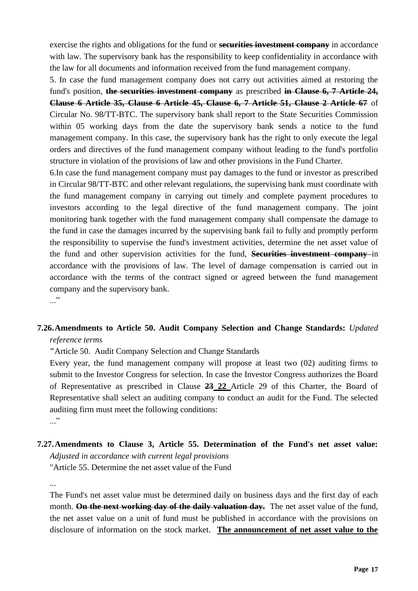exercise the rights and obligations for the fund or **securities investment company** in accordance with law. The supervisory bank has the responsibility to keep confidentiality in accordance with the law for all documents and information received from the fund management company.

5. In case the fund management company does not carry out activities aimed at restoring the fund's position, **the securities investment company** as prescribed **in Clause 6, 7 Article 24, Clause 6 Article 35, Clause 6 Article 45, Clause 6, 7 Article 51, Clause 2 Article 67** of Circular No. 98/TT-BTC. The supervisory bank shall report to the State Securities Commission within 05 working days from the date the supervisory bank sends a notice to the fund management company. In this case, the supervisory bank has the right to only execute the legal orders and directives of the fund management company without leading to the fund's portfolio structure in violation of the provisions of law and other provisions in the Fund Charter.

6.In case the fund management company must pay damages to the fund or investor as prescribed in Circular 98/TT-BTC and other relevant regulations, the supervising bank must coordinate with the fund management company in carrying out timely and complete payment procedures to investors according to the legal directive of the fund management company. The joint monitoring bank together with the fund management company shall compensate the damage to the fund in case the damages incurred by the supervising bank fail to fully and promptly perform the responsibility to supervise the fund's investment activities, determine the net asset value of the fund and other supervision activities for the fund, **Securities investment company** in accordance with the provisions of law. The level of damage compensation is carried out in accordance with the terms of the contract signed or agreed between the fund management company and the supervisory bank.

..."

# **7.26.Amendments to Article 50. Audit Company Selection and Change Standards:** *Updated*

*reference terms*

**"**Article 50. Audit Company Selection and Change Standards

Every year, the fund management company will propose at least two (02) auditing firms to submit to the Investor Congress for selection. In case the Investor Congress authorizes the Board of Representative as prescribed in Clause **23 22** Article 29 of this Charter, the Board of Representative shall select an auditing company to conduct an audit for the Fund. The selected auditing firm must meet the following conditions:

..."

# **7.27.Amendments to Clause 3, Article 55. Determination of the Fund's net asset value:**

*Adjusted in accordance with current legal provisions*

"Article 55. Determine the net asset value of the Fund

...

The Fund's net asset value must be determined daily on business days and the first day of each month. **On the next working day of the daily valuation day.** The net asset value of the fund, the net asset value on a unit of fund must be published in accordance with the provisions on disclosure of information on the stock market. **The announcement of net asset value to the**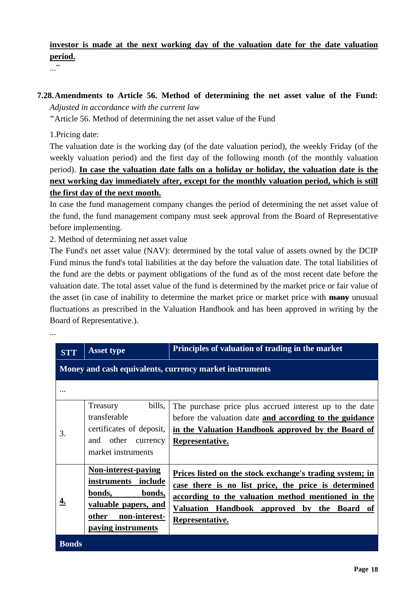# **investor is made at the next working day of the valuation date for the date valuation period.**

..."

...

### **7.28.Amendments to Article 56. Method of determining the net asset value of the Fund:** *Adjusted in accordance with the current law*

**"**Article 56. Method of determining the net asset value of the Fund

1.Pricing date:

The valuation date is the working day (of the date valuation period), the weekly Friday (of the weekly valuation period) and the first day of the following month (of the monthly valuation period). **In case the valuation date falls on a holiday or holiday, the valuation date is the next working day immediately after, except for the monthly valuation period, which is still the first day of the next month.**

In case the fund management company changes the period of determining the net asset value of the fund, the fund management company must seek approval from the Board of Representative before implementing.

2. Method of determining net asset value

The Fund's net asset value (NAV): determined by the total value of assets owned by the DCIP Fund minus the fund's total liabilities at the day before the valuation date. The total liabilities of the fund are the debts or payment obligations of the fund as of the most recent date before the valuation date. The total asset value of the fund is determined by the market price or fair value of the asset (in case of inability to determine the market price or market price with **many** unusual fluctuations as prescribed in the Valuation Handbook and has been approved in writing by the Board of Representative.).

| <b>STT</b>   | <b>Asset type</b>                                                                                                                          | Principles of valuation of trading in the market                                                                                                                                                                                            |  |  |  |
|--------------|--------------------------------------------------------------------------------------------------------------------------------------------|---------------------------------------------------------------------------------------------------------------------------------------------------------------------------------------------------------------------------------------------|--|--|--|
|              | Money and cash equivalents, currency market instruments                                                                                    |                                                                                                                                                                                                                                             |  |  |  |
|              |                                                                                                                                            |                                                                                                                                                                                                                                             |  |  |  |
| 3.           | bills,<br>Treasury<br>transferable<br>certificates of deposit,<br>other<br>and<br>currency<br>market instruments                           | The purchase price plus accrued interest up to the date<br>before the valuation date and according to the guidance<br>in the Valuation Handbook approved by the Board of<br>Representative.                                                 |  |  |  |
|              | <b>Non-interest-paying</b><br>instruments include<br>bonds,<br>bonds,<br>valuable papers, and<br>other non-interest-<br>paying instruments | Prices listed on the stock exchange's trading system; in<br>case there is no list price, the price is determined<br>according to the valuation method mentioned in the<br>Valuation Handbook approved by the Board<br>of<br>Representative. |  |  |  |
| <b>Bonds</b> |                                                                                                                                            |                                                                                                                                                                                                                                             |  |  |  |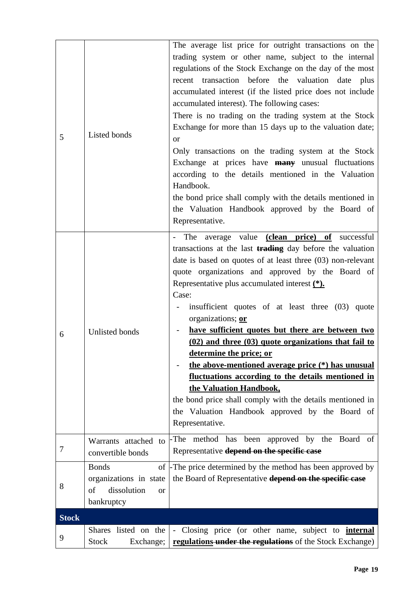| 5            | Listed bonds                                                                               | The average list price for outright transactions on the<br>trading system or other name, subject to the internal<br>regulations of the Stock Exchange on the day of the most<br>recent transaction before the valuation date plus<br>accumulated interest (if the listed price does not include<br>accumulated interest). The following cases:<br>There is no trading on the trading system at the Stock<br>Exchange for more than 15 days up to the valuation date;<br><b>or</b><br>Only transactions on the trading system at the Stock<br>Exchange at prices have <b>many</b> unusual fluctuations<br>according to the details mentioned in the Valuation<br>Handbook.<br>the bond price shall comply with the details mentioned in<br>the Valuation Handbook approved by the Board of                                              |
|--------------|--------------------------------------------------------------------------------------------|----------------------------------------------------------------------------------------------------------------------------------------------------------------------------------------------------------------------------------------------------------------------------------------------------------------------------------------------------------------------------------------------------------------------------------------------------------------------------------------------------------------------------------------------------------------------------------------------------------------------------------------------------------------------------------------------------------------------------------------------------------------------------------------------------------------------------------------|
| 6            | Unlisted bonds                                                                             | Representative.<br>The average value (clean price) of successful<br>$\omega_{\rm{max}}$<br>transactions at the last trading day before the valuation<br>date is based on quotes of at least three $(03)$ non-relevant<br>quote organizations and approved by the Board of<br>Representative plus accumulated interest $(*)$ .<br>Case:<br>insufficient quotes of at least three (03) quote<br>organizations; or<br>have sufficient quotes but there are between two<br>(02) and three (03) quote organizations that fail to<br>determine the price; or<br>the above-mentioned average price (*) has unusual<br><u>fluctuations according to the details mentioned in</u><br>the Valuation Handbook,<br>the bond price shall comply with the details mentioned in<br>the Valuation Handbook approved by the Board of<br>Representative. |
| 7            | Warrants attached to<br>convertible bonds                                                  | -The method has been approved by the Board of<br>Representative depend on the specific case                                                                                                                                                                                                                                                                                                                                                                                                                                                                                                                                                                                                                                                                                                                                            |
| 8            | <b>Bonds</b><br>organizations in state<br>dissolution<br>of<br><sub>or</sub><br>bankruptcy | of -The price determined by the method has been approved by<br>the Board of Representative depend on the specific case                                                                                                                                                                                                                                                                                                                                                                                                                                                                                                                                                                                                                                                                                                                 |
| <b>Stock</b> |                                                                                            |                                                                                                                                                                                                                                                                                                                                                                                                                                                                                                                                                                                                                                                                                                                                                                                                                                        |
| 9            | Shares listed on the<br><b>Stock</b><br>Exchange;                                          | Closing price (or other name, subject to <b>internal</b><br>$\overline{\phantom{a}}$<br>regulations under the regulations of the Stock Exchange)                                                                                                                                                                                                                                                                                                                                                                                                                                                                                                                                                                                                                                                                                       |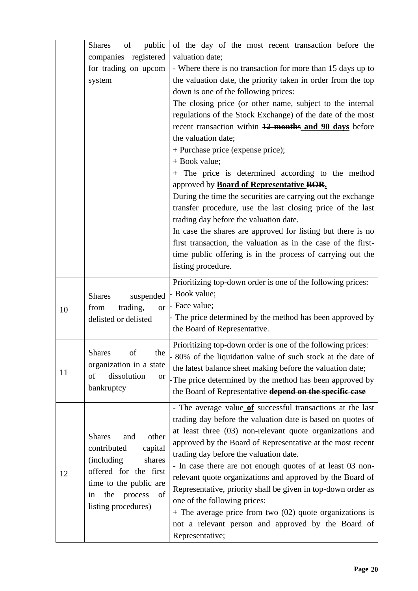|    | of<br>public<br><b>Shares</b>                                                                             | of the day of the most recent transaction before the          |
|----|-----------------------------------------------------------------------------------------------------------|---------------------------------------------------------------|
|    | companies registered                                                                                      | valuation date;                                               |
|    | for trading on upcom                                                                                      | - Where there is no transaction for more than 15 days up to   |
|    | system                                                                                                    | the valuation date, the priority taken in order from the top  |
|    |                                                                                                           | down is one of the following prices:                          |
|    |                                                                                                           | The closing price (or other name, subject to the internal     |
|    |                                                                                                           | regulations of the Stock Exchange) of the date of the most    |
|    |                                                                                                           | recent transaction within 12 months and 90 days before        |
|    |                                                                                                           | the valuation date;                                           |
|    |                                                                                                           | + Purchase price (expense price);                             |
|    |                                                                                                           | + Book value;                                                 |
|    |                                                                                                           | + The price is determined according to the method             |
|    |                                                                                                           | approved by <b>Board of Representative BOR.</b>               |
|    |                                                                                                           | During the time the securities are carrying out the exchange  |
|    |                                                                                                           | transfer procedure, use the last closing price of the last    |
|    |                                                                                                           | trading day before the valuation date.                        |
|    |                                                                                                           | In case the shares are approved for listing but there is no   |
|    |                                                                                                           | first transaction, the valuation as in the case of the first- |
|    |                                                                                                           | time public offering is in the process of carrying out the    |
|    |                                                                                                           | listing procedure.                                            |
|    |                                                                                                           | Prioritizing top-down order is one of the following prices:   |
|    | suspended<br><b>Shares</b>                                                                                | - Book value;                                                 |
| 10 | trading,<br>from<br><b>or</b>                                                                             | - Face value;                                                 |
|    | delisted or delisted                                                                                      | The price determined by the method has been approved by       |
|    |                                                                                                           | the Board of Representative.                                  |
|    |                                                                                                           | Prioritizing top-down order is one of the following prices:   |
|    | <b>Shares</b><br>of<br>the                                                                                | - 80% of the liquidation value of such stock at the date of   |
| 11 | organization in a state                                                                                   | the latest balance sheet making before the valuation date;    |
|    | dissolution<br>of<br><b>or</b>                                                                            | -The price determined by the method has been approved by      |
|    | bankruptcy                                                                                                | the Board of Representative depend on the specific case       |
|    |                                                                                                           | - The average value of successful transactions at the last    |
|    | other<br><b>Shares</b><br>and<br>contributed<br>capital<br>(including)<br>shares<br>offered for the first | trading day before the valuation date is based on quotes of   |
|    |                                                                                                           | at least three (03) non-relevant quote organizations and      |
|    |                                                                                                           | approved by the Board of Representative at the most recent    |
|    |                                                                                                           | trading day before the valuation date.                        |
|    |                                                                                                           | - In case there are not enough quotes of at least 03 non-     |
| 12 | time to the public are                                                                                    | relevant quote organizations and approved by the Board of     |
|    | of<br>the<br>process<br>in                                                                                | Representative, priority shall be given in top-down order as  |
|    | listing procedures)                                                                                       | one of the following prices:                                  |
|    |                                                                                                           | $+$ The average price from two (02) quote organizations is    |
|    |                                                                                                           | not a relevant person and approved by the Board of            |
|    |                                                                                                           | Representative;                                               |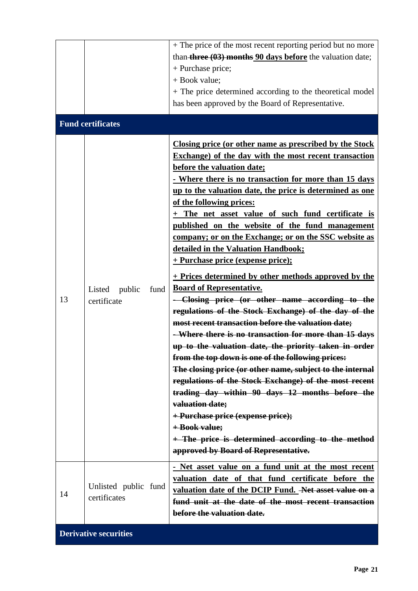|    | <b>Fund certificates</b>                | + The price of the most recent reporting period but no more<br>than <b>three <math>(03)</math> months 90 days before</b> the valuation date;<br>+ Purchase price;<br>+ Book value;<br>+ The price determined according to the theoretical model<br>has been approved by the Board of Representative.                                                                                                                                                                                                                                                                                                                                                                                                                                                                                                                                                                                                                                                                                                                                                                                                                                                                                                                                                                                                                                           |
|----|-----------------------------------------|------------------------------------------------------------------------------------------------------------------------------------------------------------------------------------------------------------------------------------------------------------------------------------------------------------------------------------------------------------------------------------------------------------------------------------------------------------------------------------------------------------------------------------------------------------------------------------------------------------------------------------------------------------------------------------------------------------------------------------------------------------------------------------------------------------------------------------------------------------------------------------------------------------------------------------------------------------------------------------------------------------------------------------------------------------------------------------------------------------------------------------------------------------------------------------------------------------------------------------------------------------------------------------------------------------------------------------------------|
| 13 | Listed<br>public<br>fund<br>certificate | Closing price (or other name as prescribed by the Stock<br><b>Exchange) of the day with the most recent transaction</b><br>before the valuation date;<br>- Where there is no transaction for more than 15 days<br>up to the valuation date, the price is determined as one<br>of the following prices:<br>+ The net asset value of such fund certificate is<br>published on the website of the fund management<br>company; or on the Exchange; or on the SSC website as<br>detailed in the Valuation Handbook;<br><u>+ Purchase price (expense price);</u><br>+ Prices determined by other methods approved by the<br><b>Board of Representative.</b><br>- Closing price (or other name according to the<br>regulations of the Stock Exchange) of the day of the<br>most recent transaction before the valuation date;<br>- Where there is no transaction for more than 15 days<br>up to the valuation date, the priority taken in order<br>from the top down is one of the following prices:<br>The closing price (or other name, subject to the internal<br>regulations of the Stock Exchange) of the most recent<br>trading day within 90 days 12 months before the<br>valuation date;<br>+ Purchase price (expense price);<br>$+$ Book value;<br>+ The price is determined according to the method<br>approved by Board of Representative. |
| 14 | Unlisted public fund<br>certificates    | - Net asset value on a fund unit at the most recent<br>valuation date of that fund certificate before the<br>valuation date of the DCIP Fund. Net asset value on a<br>fund unit at the date of the most recent transaction<br>before the valuation date.                                                                                                                                                                                                                                                                                                                                                                                                                                                                                                                                                                                                                                                                                                                                                                                                                                                                                                                                                                                                                                                                                       |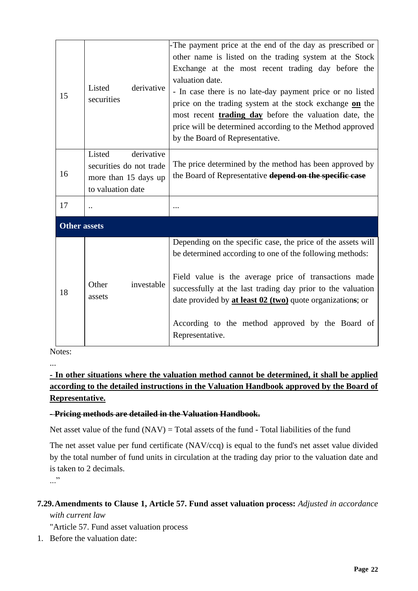| 15                  | Listed<br>derivative<br>securities                                                           | -The payment price at the end of the day as prescribed or<br>other name is listed on the trading system at the Stock<br>Exchange at the most recent trading day before the<br>valuation date.<br>- In case there is no late-day payment price or no listed<br>price on the trading system at the stock exchange on the<br>most recent <b>trading day</b> before the valuation date, the<br>price will be determined according to the Method approved<br>by the Board of Representative. |
|---------------------|----------------------------------------------------------------------------------------------|-----------------------------------------------------------------------------------------------------------------------------------------------------------------------------------------------------------------------------------------------------------------------------------------------------------------------------------------------------------------------------------------------------------------------------------------------------------------------------------------|
| 16                  | Listed<br>derivative<br>securities do not trade<br>more than 15 days up<br>to valuation date | The price determined by the method has been approved by<br>the Board of Representative depend on the specific case                                                                                                                                                                                                                                                                                                                                                                      |
| 17                  |                                                                                              |                                                                                                                                                                                                                                                                                                                                                                                                                                                                                         |
| <b>Other assets</b> |                                                                                              |                                                                                                                                                                                                                                                                                                                                                                                                                                                                                         |
| 18                  | Other<br>investable<br>assets                                                                | Depending on the specific case, the price of the assets will<br>be determined according to one of the following methods:<br>Field value is the average price of transactions made<br>successfully at the last trading day prior to the valuation<br>date provided by at least 02 (two) quote organizations; or<br>According to the method approved by the Board of<br>Representative.                                                                                                   |

Notes:

...

# **- In other situations where the valuation method cannot be determined, it shall be applied according to the detailed instructions in the Valuation Handbook approved by the Board of Representative.**

### **- Pricing methods are detailed in the Valuation Handbook.**

Net asset value of the fund  $(NAV) = Total$  assets of the fund - Total liabilities of the fund

The net asset value per fund certificate (NAV/ccq) is equal to the fund's net asset value divided by the total number of fund units in circulation at the trading day prior to the valuation date and is taken to 2 decimals.

..."

# **7.29.Amendments to Clause 1, Article 57. Fund asset valuation process:** *Adjusted in accordance*

*with current law*

"Article 57. Fund asset valuation process

1. Before the valuation date: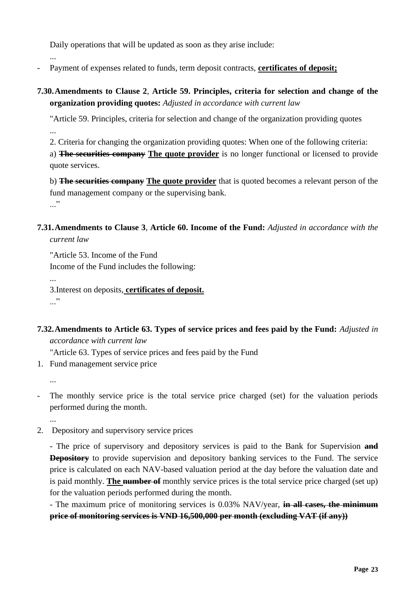Daily operations that will be updated as soon as they arise include:

...

- Payment of expenses related to funds, term deposit contracts, **certificates of deposit;**
- **7.30.Amendments to Clause 2**, **Article 59. Principles, criteria for selection and change of the organization providing quotes:** *Adjusted in accordance with current law*

"Article 59. Principles, criteria for selection and change of the organization providing quotes ...

2. Criteria for changing the organization providing quotes: When one of the following criteria:

a) **The securities company The quote provider** is no longer functional or licensed to provide quote services.

b) **The securities company The quote provider** that is quoted becomes a relevant person of the fund management company or the supervising bank. ..."

**7.31.Amendments to Clause 3**, **Article 60. Income of the Fund:** *Adjusted in accordance with the current law*

"Article 53. Income of the Fund

Income of the Fund includes the following:

...

3.Interest on deposits, **certificates of deposit.** ..."

**7.32.Amendments to Article 63. Types of service prices and fees paid by the Fund:** *Adjusted in accordance with current law*

"Article 63. Types of service prices and fees paid by the Fund

1. Fund management service price

...

The monthly service price is the total service price charged (set) for the valuation periods performed during the month.

...

2. Depository and supervisory service prices

- The price of supervisory and depository services is paid to the Bank for Supervision **and Depository** to provide supervision and depository banking services to the Fund. The service price is calculated on each NAV-based valuation period at the day before the valuation date and is paid monthly. **The number of** monthly service prices is the total service price charged (set up) for the valuation periods performed during the month.

- The maximum price of monitoring services is 0.03% NAV/year, **in all cases, the minimum price of monitoring services is VND 16,500,000 per month (excluding VAT (if any))**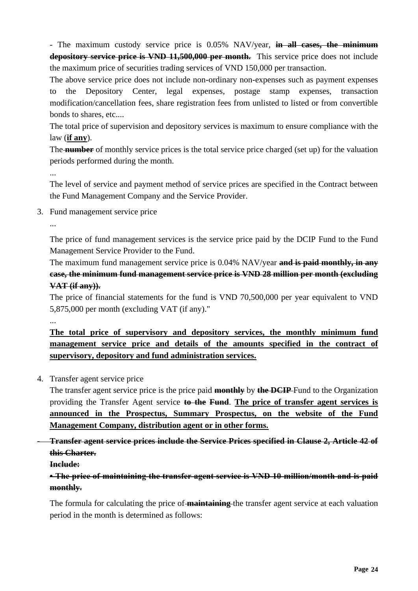- The maximum custody service price is 0.05% NAV/year, **in all cases, the minimum depository service price is VND 11,500,000 per month.** This service price does not include the maximum price of securities trading services of VND 150,000 per transaction.

The above service price does not include non-ordinary non-expenses such as payment expenses to the Depository Center, legal expenses, postage stamp expenses, transaction modification/cancellation fees, share registration fees from unlisted to listed or from convertible bonds to shares, etc....

The total price of supervision and depository services is maximum to ensure compliance with the law (**if any**).

The **number** of monthly service prices is the total service price charged (set up) for the valuation periods performed during the month.

...

The level of service and payment method of service prices are specified in the Contract between the Fund Management Company and the Service Provider.

3. Fund management service price

...

The price of fund management services is the service price paid by the DCIP Fund to the Fund Management Service Provider to the Fund.

The maximum fund management service price is 0.04% NAV/year **and is paid monthly, in any case, the minimum fund management service price is VND 28 million per month (excluding VAT (if any)).** 

The price of financial statements for the fund is VND 70,500,000 per year equivalent to VND 5,875,000 per month (excluding VAT (if any)."

...

**The total price of supervisory and depository services, the monthly minimum fund management service price and details of the amounts specified in the contract of supervisory, depository and fund administration services.**

4. Transfer agent service price

The transfer agent service price is the price paid **monthly** by **the DCIP** Fund to the Organization providing the Transfer Agent service **to the Fund**. **The price of transfer agent services is announced in the Prospectus, Summary Prospectus, on the website of the Fund Management Company, distribution agent or in other forms.**

- **Transfer agent service prices include the Service Prices specified in Clause 2, Article 42 of this Charter.**

**Include:**

**• The price of maintaining the transfer agent service is VND 10 million/month and is paid monthly.**

The formula for calculating the price of **maintaining** the transfer agent service at each valuation period in the month is determined as follows: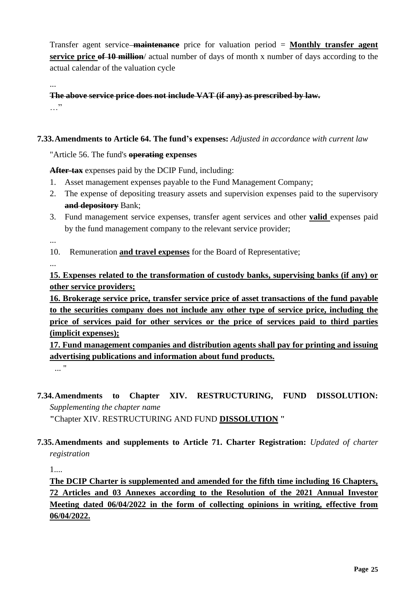Transfer agent service **maintenance** price for valuation period = **Monthly transfer agent service price of 10 million**/ actual number of days of month x number of days according to the actual calendar of the valuation cycle

**The above service price does not include VAT (if any) as prescribed by law.** …"

### **7.33.Amendments to Article 64. The fund's expenses:** *Adjusted in accordance with current law*

"Article 56. The fund's **operating expenses**

**After-tax** expenses paid by the DCIP Fund, including:

- 1. Asset management expenses payable to the Fund Management Company;
- 2. The expense of depositing treasury assets and supervision expenses paid to the supervisory **and depository** Bank;
- 3. Fund management service expenses, transfer agent services and other **valid** expenses paid by the fund management company to the relevant service provider;

...

...

- 10. Remuneration **and travel expenses** for the Board of Representative;
- ...

**15. Expenses related to the transformation of custody banks, supervising banks (if any) or other service providers;**

**16. Brokerage service price, transfer service price of asset transactions of the fund payable to the securities company does not include any other type of service price, including the price of services paid for other services or the price of services paid to third parties (implicit expenses);**

**17. Fund management companies and distribution agents shall pay for printing and issuing advertising publications and information about fund products.**

... "

# **7.34.Amendments to Chapter XIV. RESTRUCTURING, FUND DISSOLUTION:**  *Supplementing the chapter name*

**"**Chapter XIV. RESTRUCTURING AND FUND **DISSOLUTION "**

**7.35.Amendments and supplements to Article 71. Charter Registration:** *Updated of charter registration*

1....

**The DCIP Charter is supplemented and amended for the fifth time including 16 Chapters, 72 Articles and 03 Annexes according to the Resolution of the 2021 Annual Investor Meeting dated 06/04/2022 in the form of collecting opinions in writing, effective from 06/04/2022.**